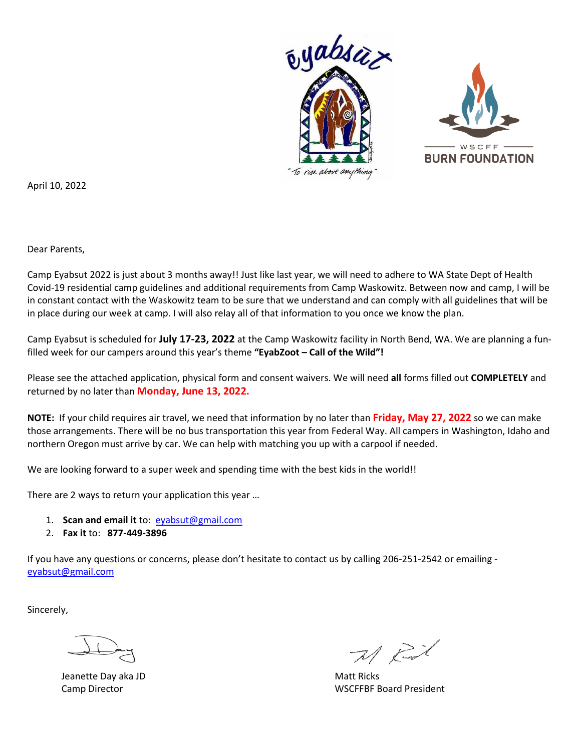

April 10, 2022

Dear Parents,

Camp Eyabsut 2022 is just about 3 months away!! Just like last year, we will need to adhere to WA State Dept of Health Covid-19 residential camp guidelines and additional requirements from Camp Waskowitz. Between now and camp, I will be in constant contact with the Waskowitz team to be sure that we understand and can comply with all guidelines that will be in place during our week at camp. I will also relay all of that information to you once we know the plan.

Camp Eyabsut is scheduled for **July 17-23, 2022** at the Camp Waskowitz facility in North Bend, WA. We are planning a funfilled week for our campers around this year's theme **"EyabZoot – Call of the Wild"!** 

Please see the attached application, physical form and consent waivers. We will need **all** forms filled out **COMPLETELY** and returned by no later than **Monday, June 13, 2022.**

**NOTE:** If your child requires air travel, we need that information by no later than **Friday, May 27, 2022** so we can make those arrangements. There will be no bus transportation this year from Federal Way. All campers in Washington, Idaho and northern Oregon must arrive by car. We can help with matching you up with a carpool if needed.

We are looking forward to a super week and spending time with the best kids in the world!!

There are 2 ways to return your application this year …

- 1. **Scan and email it** to: [eyabsut@gmail.com](mailto:eyabsut@gmail.com)
- 2. **Fax it** to: **877-449-3896**

If you have any questions or concerns, please don't hesitate to contact us by calling 206-251-2542 or emailing [eyabsut@gmail.com](mailto:eyabsut@gmail.com)

Sincerely,

Jeanette Day aka JD Matt Ricks and the Matt Ricks of Matt Ricks and Matt Ricks and Matt Ricks and Matt Ricks and Matt Ricks and Matt Ricks and Matt Ricks and Matt Ricks and Matt Ricks and Matt Ricks and Matt Ricks and Matt

 $71$  Rid

Camp Director WSCFFBF Board President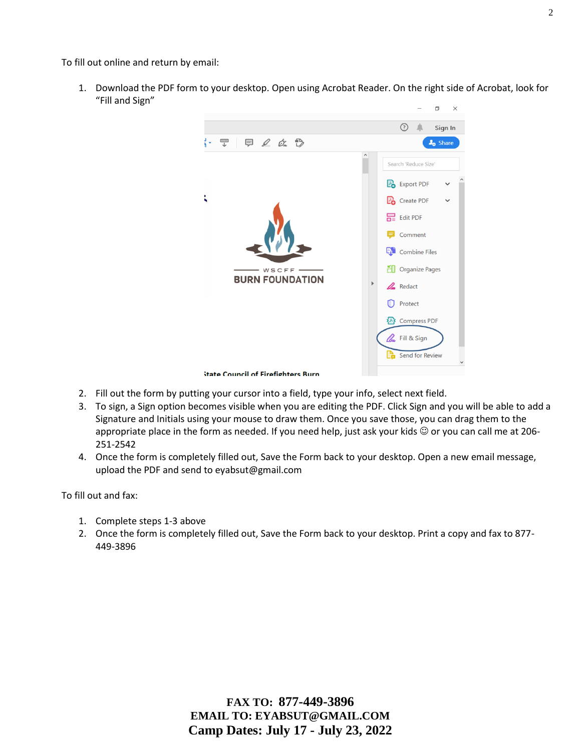To fill out online and return by email:

1. Download the PDF form to your desktop. Open using Acrobat Reader. On the right side of Acrobat, look for "Fill and Sign"



- 2. Fill out the form by putting your cursor into a field, type your info, select next field.
- 3. To sign, a Sign option becomes visible when you are editing the PDF. Click Sign and you will be able to add a Signature and Initials using your mouse to draw them. Once you save those, you can drag them to the appropriate place in the form as needed. If you need help, just ask your kids  $\odot$  or you can call me at 206-251-2542
- 4. Once the form is completely filled out, Save the Form back to your desktop. Open a new email message, upload the PDF and send to eyabsut@gmail.com

To fill out and fax:

- 1. Complete steps 1-3 above
- 2. Once the form is completely filled out, Save the Form back to your desktop. Print a copy and fax to 877- 449-3896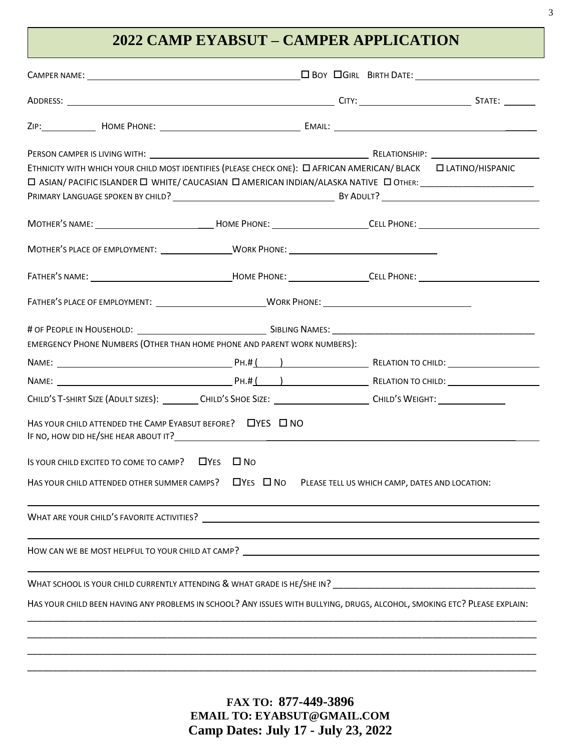# **2022 CAMP EYABSUT – CAMPER APPLICATION**

| PERSON CAMPER IS LIVING WITH: Notified the service of the service of the service of the RELATIONSHIP: Networking the service of the service of the service of the service of the service of the service of the service of the<br>ETHNICITY WITH WHICH YOUR CHILD MOST IDENTIFIES (PLEASE CHECK ONE): [ AFRICAN AMERICAN/BLACK [ ATINO/HISPANIC<br>□ ASIAN/ PACIFIC ISLANDER □ WHITE/ CAUCASIAN □ AMERICAN INDIAN/ALASKA NATIVE □ OTHER: ________________________ |                                                |  |
|------------------------------------------------------------------------------------------------------------------------------------------------------------------------------------------------------------------------------------------------------------------------------------------------------------------------------------------------------------------------------------------------------------------------------------------------------------------|------------------------------------------------|--|
| MOTHER'S NAME: _________________________________HOME PHONE: _____________________CELL PHONE: _________________                                                                                                                                                                                                                                                                                                                                                   |                                                |  |
| MOTHER'S PLACE OF EMPLOYMENT: __________________WORK PHONE: _____________________                                                                                                                                                                                                                                                                                                                                                                                |                                                |  |
|                                                                                                                                                                                                                                                                                                                                                                                                                                                                  |                                                |  |
|                                                                                                                                                                                                                                                                                                                                                                                                                                                                  |                                                |  |
| EMERGENCY PHONE NUMBERS (OTHER THAN HOME PHONE AND PARENT WORK NUMBERS):                                                                                                                                                                                                                                                                                                                                                                                         |                                                |  |
|                                                                                                                                                                                                                                                                                                                                                                                                                                                                  |                                                |  |
|                                                                                                                                                                                                                                                                                                                                                                                                                                                                  |                                                |  |
| CHILD'S T-SHIRT SIZE (ADULT SIZES): CHILD'S SHOE SIZE: CHILD'S CHILD'S WEIGHT:                                                                                                                                                                                                                                                                                                                                                                                   |                                                |  |
| HAS YOUR CHILD ATTENDED THE CAMP EYABSUT BEFORE?<br>UYES ON NO                                                                                                                                                                                                                                                                                                                                                                                                   |                                                |  |
| IS YOUR CHILD EXCITED TO COME TO CAMP? $\Box$ YES $\Box$ NO                                                                                                                                                                                                                                                                                                                                                                                                      |                                                |  |
| HAS YOUR CHILD ATTENDED OTHER SUMMER CAMPS? $\Box$ YES $\Box$ No                                                                                                                                                                                                                                                                                                                                                                                                 | PLEASE TELL US WHICH CAMP, DATES AND LOCATION: |  |
| WHAT ARE YOUR CHILD'S FAVORITE ACTIVITIES? THE SERVICE SERVICE SERVICE SERVICE SERVICE SERVICE SERVICE SERVICE                                                                                                                                                                                                                                                                                                                                                   |                                                |  |
|                                                                                                                                                                                                                                                                                                                                                                                                                                                                  |                                                |  |
|                                                                                                                                                                                                                                                                                                                                                                                                                                                                  |                                                |  |
| HAS YOUR CHILD BEEN HAVING ANY PROBLEMS IN SCHOOL? ANY ISSUES WITH BULLYING, DRUGS, ALCOHOL, SMOKING ETC? PLEASE EXPLAIN:                                                                                                                                                                                                                                                                                                                                        |                                                |  |
|                                                                                                                                                                                                                                                                                                                                                                                                                                                                  |                                                |  |
|                                                                                                                                                                                                                                                                                                                                                                                                                                                                  |                                                |  |

**FAX TO: 877-449-3896 EMAIL TO: EYABSUT@GMAIL.COM Camp Dates: July 17 - July 23, 2022**

\_\_\_\_\_\_\_\_\_\_\_\_\_\_\_\_\_\_\_\_\_\_\_\_\_\_\_\_\_\_\_\_\_\_\_\_\_\_\_\_\_\_\_\_\_\_\_\_\_\_\_\_\_\_\_\_\_\_\_\_\_\_\_\_\_\_\_\_\_\_\_\_\_\_\_\_\_\_\_\_\_\_\_\_\_\_\_\_\_\_\_\_\_\_\_\_\_\_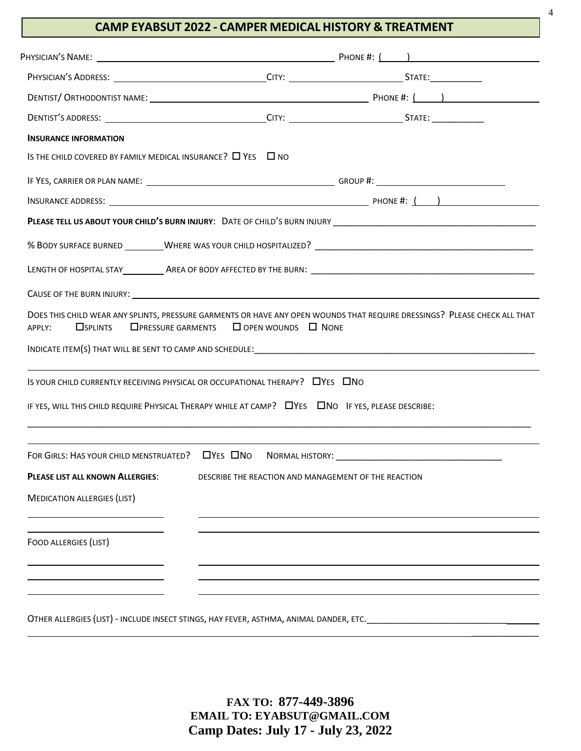### **CAMP EYABSUT 2022 - CAMPER MEDICAL HISTORY & TREATMENT**

| <b>INSURANCE INFORMATION</b>                                                                                                                                                                                                                                                                                                                  |                                                         |  |
|-----------------------------------------------------------------------------------------------------------------------------------------------------------------------------------------------------------------------------------------------------------------------------------------------------------------------------------------------|---------------------------------------------------------|--|
| IS THE CHILD COVERED BY FAMILY MEDICAL INSURANCE? $\Box$ YES $\Box$ NO                                                                                                                                                                                                                                                                        |                                                         |  |
|                                                                                                                                                                                                                                                                                                                                               |                                                         |  |
|                                                                                                                                                                                                                                                                                                                                               |                                                         |  |
|                                                                                                                                                                                                                                                                                                                                               |                                                         |  |
|                                                                                                                                                                                                                                                                                                                                               |                                                         |  |
|                                                                                                                                                                                                                                                                                                                                               |                                                         |  |
|                                                                                                                                                                                                                                                                                                                                               |                                                         |  |
| <b>O</b> SPLINTS<br>APPLY:<br>IS YOUR CHILD CURRENTLY RECEIVING PHYSICAL OR OCCUPATIONAL THERAPY? [VES   ONO<br>IF YES, WILL THIS CHILD REQUIRE PHYSICAL THERAPY WHILE AT CAMP? <b>IF YES, PULL THIS CHILD REQUIRE PHYSICAL THERAPY WHILE AT CAMP? IF YES, PULL THIS CHILD REQUIRE PHYSICAL THERAPY WHILE AT CAMP? IF YES, PUEASE DESCRIB</b> | $\Box$ PRESSURE GARMENTS $\Box$ OPEN WOUNDS $\Box$ NONE |  |
|                                                                                                                                                                                                                                                                                                                                               |                                                         |  |
| FOR GIRLS: HAS YOUR CHILD MENSTRUATED? $\Box$ Yes $\Box$ No<br><b>PLEASE LIST ALL KNOWN ALLERGIES:</b>                                                                                                                                                                                                                                        | DESCRIBE THE REACTION AND MANAGEMENT OF THE REACTION    |  |
| <b>MEDICATION ALLERGIES (LIST)</b>                                                                                                                                                                                                                                                                                                            |                                                         |  |
| FOOD ALLERGIES (LIST)                                                                                                                                                                                                                                                                                                                         |                                                         |  |
|                                                                                                                                                                                                                                                                                                                                               |                                                         |  |

OTHER ALLERGIES (LIST) - INCLUDE INSECT STINGS, HAY FEVER, ASTHMA, ANIMAL DANDER, ETC.\_\_\_\_\_\_\_\_\_\_\_\_\_\_\_\_\_\_\_\_\_\_\_\_\_\_\_

**FAX TO: 877-449-3896 EMAIL TO: EYABSUT@GMAIL.COM Camp Dates: July 17 - July 23, 2022** \_\_\_\_\_\_\_\_\_\_\_\_\_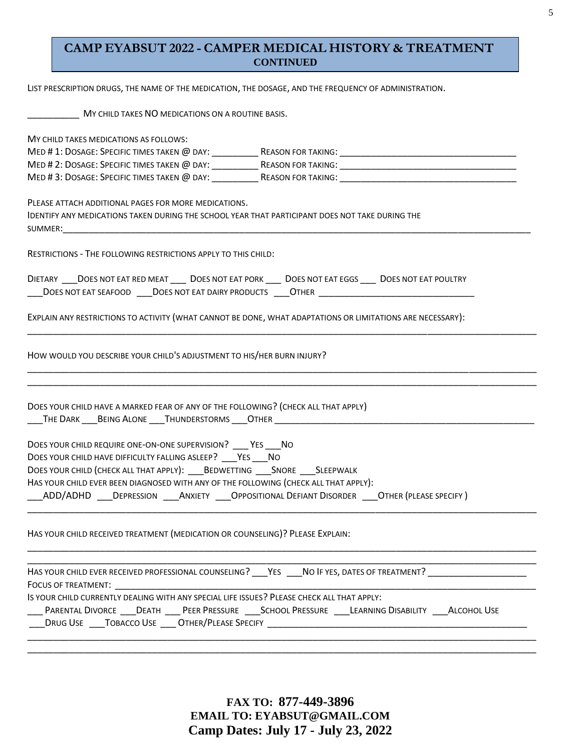### **CAMP EYABSUT 2022 - CAMPER MEDICAL HISTORY & TREATMENT CONTINUED**

LIST PRESCRIPTION DRUGS, THE NAME OF THE MEDICATION, THE DOSAGE, AND THE FREQUENCY OF ADMINISTRATION.

| MY CHILD TAKES NO MEDICATIONS ON A ROUTINE BASIS. |  |
|---------------------------------------------------|--|
|---------------------------------------------------|--|

| MY CHILD TAKES MEDICATIONS AS FOLLOWS:                                                                                                                                                                                                                                                                                                                                                                                                                                                                                                                         |
|----------------------------------------------------------------------------------------------------------------------------------------------------------------------------------------------------------------------------------------------------------------------------------------------------------------------------------------------------------------------------------------------------------------------------------------------------------------------------------------------------------------------------------------------------------------|
|                                                                                                                                                                                                                                                                                                                                                                                                                                                                                                                                                                |
|                                                                                                                                                                                                                                                                                                                                                                                                                                                                                                                                                                |
|                                                                                                                                                                                                                                                                                                                                                                                                                                                                                                                                                                |
| PLEASE ATTACH ADDITIONAL PAGES FOR MORE MEDICATIONS.<br>IDENTIFY ANY MEDICATIONS TAKEN DURING THE SCHOOL YEAR THAT PARTICIPANT DOES NOT TAKE DURING THE<br>SUMMER: the contract of the contract of the contract of the contract of the contract of the contract of the contract of the contract of the contract of the contract of the contract of the contract of the contract of the co                                                                                                                                                                      |
| <b>RESTRICTIONS - THE FOLLOWING RESTRICTIONS APPLY TO THIS CHILD:</b>                                                                                                                                                                                                                                                                                                                                                                                                                                                                                          |
| DIETARY ____DOES NOT EAT RED MEAT ______ DOES NOT EAT PORK ______ DOES NOT EAT EGGS _____ DOES NOT EAT POULTRY                                                                                                                                                                                                                                                                                                                                                                                                                                                 |
| EXPLAIN ANY RESTRICTIONS TO ACTIVITY (WHAT CANNOT BE DONE, WHAT ADAPTATIONS OR LIMITATIONS ARE NECESSARY):                                                                                                                                                                                                                                                                                                                                                                                                                                                     |
| HOW WOULD YOU DESCRIBE YOUR CHILD'S ADJUSTMENT TO HIS/HER BURN INJURY?                                                                                                                                                                                                                                                                                                                                                                                                                                                                                         |
| DOES YOUR CHILD HAVE A MARKED FEAR OF ANY OF THE FOLLOWING? (CHECK ALL THAT APPLY)<br>THE DARK ____ BEING ALONE ____ THUNDERSTORMS ____ OTHER ________________________<br>DOES YOUR CHILD REQUIRE ONE-ON-ONE SUPERVISION? ____ YES ____ NO<br>DOES YOUR CHILD HAVE DIFFICULTY FALLING ASLEEP? YES NO<br>DOES YOUR CHILD (CHECK ALL THAT APPLY): BEDWETTING ___ SNORE ___ SLEEPWALK<br>HAS YOUR CHILD EVER BEEN DIAGNOSED WITH ANY OF THE FOLLOWING (CHECK ALL THAT APPLY):<br>ADD/ADHD DEPRESSION ANXIETY OPPOSITIONAL DEFIANT DISORDER OTHER (PLEASE SPECIFY) |
| HAS YOUR CHILD RECEIVED TREATMENT (MEDICATION OR COUNSELING)? PLEASE EXPLAIN:                                                                                                                                                                                                                                                                                                                                                                                                                                                                                  |
| HAS YOUR CHILD EVER RECEIVED PROFESSIONAL COUNSELING? YES NO IF YES, DATES OF TREATMENT?<br>FOCUS OF TREATMENT: Network and the set of the set of the set of the set of the set of the set of the set of the set of the set of the set of the set of the set of the set of the set of the set of the set of the set of the                                                                                                                                                                                                                                     |
| IS YOUR CHILD CURRENTLY DEALING WITH ANY SPECIAL LIFE ISSUES? PLEASE CHECK ALL THAT APPLY:                                                                                                                                                                                                                                                                                                                                                                                                                                                                     |
| ____ PARENTAL DIVORCE ____ DEATH _____ PEER PRESSURE _____ SCHOOL PRESSURE _____LEARNING DISABILITY _____ALCOHOL USE                                                                                                                                                                                                                                                                                                                                                                                                                                           |
| DRUG USE TOBACCO USE ____ OTHER/PLEASE SPECIFY _________________________________                                                                                                                                                                                                                                                                                                                                                                                                                                                                               |
|                                                                                                                                                                                                                                                                                                                                                                                                                                                                                                                                                                |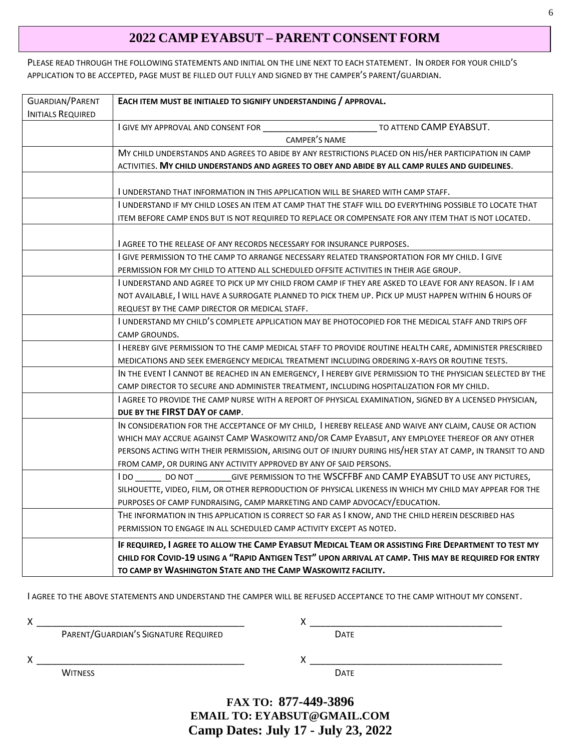## **2022 CAMP EYABSUT – PARENT CONSENT FORM**

PLEASE READ THROUGH THE FOLLOWING STATEMENTS AND INITIAL ON THE LINE NEXT TO EACH STATEMENT. IN ORDER FOR YOUR CHILD'S APPLICATION TO BE ACCEPTED, PAGE MUST BE FILLED OUT FULLY AND SIGNED BY THE CAMPER'S PARENT/GUARDIAN.

| <b>GUARDIAN/PARENT</b>   | EACH ITEM MUST BE INITIALED TO SIGNIFY UNDERSTANDING / APPROVAL.                                            |
|--------------------------|-------------------------------------------------------------------------------------------------------------|
| <b>INITIALS REQUIRED</b> |                                                                                                             |
|                          | TO ATTEND CAMP EYABSUT.<br>I GIVE MY APPROVAL AND CONSENT FOR                                               |
|                          | CAMPER'S NAME                                                                                               |
|                          | MY CHILD UNDERSTANDS AND AGREES TO ABIDE BY ANY RESTRICTIONS PLACED ON HIS/HER PARTICIPATION IN CAMP        |
|                          | ACTIVITIES. MY CHILD UNDERSTANDS AND AGREES TO OBEY AND ABIDE BY ALL CAMP RULES AND GUIDELINES.             |
|                          | I UNDERSTAND THAT INFORMATION IN THIS APPLICATION WILL BE SHARED WITH CAMP STAFF.                           |
|                          | I UNDERSTAND IF MY CHILD LOSES AN ITEM AT CAMP THAT THE STAFF WILL DO EVERYTHING POSSIBLE TO LOCATE THAT    |
|                          | ITEM BEFORE CAMP ENDS BUT IS NOT REQUIRED TO REPLACE OR COMPENSATE FOR ANY ITEM THAT IS NOT LOCATED.        |
|                          |                                                                                                             |
|                          | <b>LAGREE TO THE RELEASE OF ANY RECORDS NECESSARY FOR INSURANCE PURPOSES.</b>                               |
|                          | I GIVE PERMISSION TO THE CAMP TO ARRANGE NECESSARY RELATED TRANSPORTATION FOR MY CHILD. I GIVE              |
|                          | PERMISSION FOR MY CHILD TO ATTEND ALL SCHEDULED OFFSITE ACTIVITIES IN THEIR AGE GROUP.                      |
|                          | I UNDERSTAND AND AGREE TO PICK UP MY CHILD FROM CAMP IF THEY ARE ASKED TO LEAVE FOR ANY REASON. IF I AM     |
|                          | NOT AVAILABLE, I WILL HAVE A SURROGATE PLANNED TO PICK THEM UP. PICK UP MUST HAPPEN WITHIN 6 HOURS OF       |
|                          | REQUEST BY THE CAMP DIRECTOR OR MEDICAL STAFF.                                                              |
|                          | I UNDERSTAND MY CHILD'S COMPLETE APPLICATION MAY BE PHOTOCOPIED FOR THE MEDICAL STAFF AND TRIPS OFF         |
|                          | CAMP GROUNDS.                                                                                               |
|                          | I HEREBY GIVE PERMISSION TO THE CAMP MEDICAL STAFF TO PROVIDE ROUTINE HEALTH CARE, ADMINISTER PRESCRIBED    |
|                          | MEDICATIONS AND SEEK EMERGENCY MEDICAL TREATMENT INCLUDING ORDERING X-RAYS OR ROUTINE TESTS.                |
|                          | IN THE EVENT I CANNOT BE REACHED IN AN EMERGENCY, I HEREBY GIVE PERMISSION TO THE PHYSICIAN SELECTED BY THE |
|                          | CAMP DIRECTOR TO SECURE AND ADMINISTER TREATMENT, INCLUDING HOSPITALIZATION FOR MY CHILD.                   |
|                          | I AGREE TO PROVIDE THE CAMP NURSE WITH A REPORT OF PHYSICAL EXAMINATION, SIGNED BY A LICENSED PHYSICIAN,    |
|                          | DUE BY THE FIRST DAY OF CAMP.                                                                               |
|                          | IN CONSIDERATION FOR THE ACCEPTANCE OF MY CHILD, I HEREBY RELEASE AND WAIVE ANY CLAIM, CAUSE OR ACTION      |
|                          | WHICH MAY ACCRUE AGAINST CAMP WASKOWITZ AND/OR CAMP EYABSUT, ANY EMPLOYEE THEREOF OR ANY OTHER              |
|                          | PERSONS ACTING WITH THEIR PERMISSION, ARISING OUT OF INJURY DURING HIS/HER STAY AT CAMP, IN TRANSIT TO AND  |
|                          | FROM CAMP, OR DURING ANY ACTIVITY APPROVED BY ANY OF SAID PERSONS.                                          |
|                          | I DO _________ DO NOT ___________GIVE PERMISSION TO THE WSCFFBF AND CAMP EYABSUT TO USE ANY PICTURES,       |
|                          | SILHOUETTE, VIDEO, FILM, OR OTHER REPRODUCTION OF PHYSICAL LIKENESS IN WHICH MY CHILD MAY APPEAR FOR THE    |
|                          | PURPOSES OF CAMP FUNDRAISING, CAMP MARKETING AND CAMP ADVOCACY/EDUCATION.                                   |
|                          | THE INFORMATION IN THIS APPLICATION IS CORRECT SO FAR AS I KNOW, AND THE CHILD HEREIN DESCRIBED HAS         |
|                          | PERMISSION TO ENGAGE IN ALL SCHEDULED CAMP ACTIVITY EXCEPT AS NOTED.                                        |
|                          | IF REQUIRED, I AGREE TO ALLOW THE CAMP EYABSUT MEDICAL TEAM OR ASSISTING FIRE DEPARTMENT TO TEST MY         |
|                          | CHILD FOR COVID-19 USING A "RAPID ANTIGEN TEST" UPON ARRIVAL AT CAMP. THIS MAY BE REQUIRED FOR ENTRY        |
|                          | TO CAMP BY WASHINGTON STATE AND THE CAMP WASKOWITZ FACILITY.                                                |

I AGREE TO THE ABOVE STATEMENTS AND UNDERSTAND THE CAMPER WILL BE REFUSED ACCEPTANCE TO THE CAMP WITHOUT MY CONSENT.

| Χ |                                      |             |  |
|---|--------------------------------------|-------------|--|
|   | PARENT/GUARDIAN'S SIGNATURE REQUIRED | <b>DATE</b> |  |
| X |                                      |             |  |
|   | <b>WITNESS</b>                       | <b>DATE</b> |  |
|   |                                      |             |  |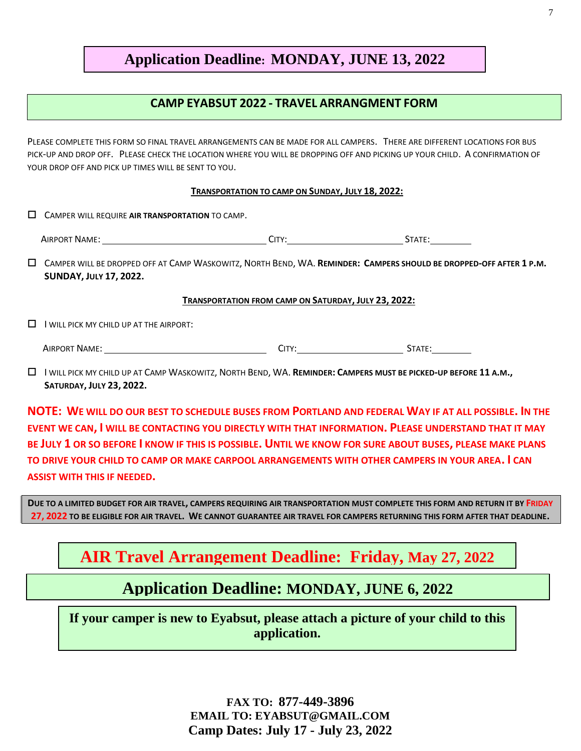## **Application Deadline: MONDAY, JUNE 13, 2022**

### **CAMP EYABSUT 2022 - TRAVEL ARRANGMENT FORM**

PLEASE COMPLETE THIS FORM SO FINAL TRAVEL ARRANGEMENTS CAN BE MADE FOR ALL CAMPERS. THERE ARE DIFFERENT LOCATIONS FOR BUS PICK-UP AND DROP OFF. PLEASE CHECK THE LOCATION WHERE YOU WILL BE DROPPING OFF AND PICKING UP YOUR CHILD. A CONFIRMATION OF YOUR DROP OFF AND PICK UP TIMES WILL BE SENT TO YOU.

#### **TRANSPORTATION TO CAMP ON SUNDAY, JULY 18, 2022:**

|  | $\Box$ CAMPER WILL REQUIRE AIR TRANSPORTATION TO CAMP. |
|--|--------------------------------------------------------|
|--|--------------------------------------------------------|

| AIRPORT NAME:<br>$- - - -$<br>CITY'<br>$\mathcal{L}$ |  |
|------------------------------------------------------|--|
|------------------------------------------------------|--|

 CAMPER WILL BE DROPPED OFF AT CAMP WASKOWITZ, NORTH BEND, WA. **REMINDER: CAMPERS SHOULD BE DROPPED-OFF AFTER 1 P.M. SUNDAY, JULY 17, 2022.**

#### **TRANSPORTATION FROM CAMP ON SATURDAY, JULY 23, 2022:**

 $\Box$  I WILL PICK MY CHILD UP AT THE AIRPORT:

AIRPORT NAME: CITY: STATE:

 I WILL PICK MY CHILD UP AT CAMP WASKOWITZ, NORTH BEND, WA. **REMINDER: CAMPERS MUST BE PICKED-UP BEFORE 11 A.M., SATURDAY, JULY 23, 2022.**

**NOTE: WE WILL DO OUR BEST TO SCHEDULE BUSES FROM PORTLAND AND FEDERAL WAY IF AT ALL POSSIBLE. IN THE EVENT WE CAN, I WILL BE CONTACTING YOU DIRECTLY WITH THAT INFORMATION. PLEASE UNDERSTAND THAT IT MAY BE JULY 1 OR SO BEFORE I KNOW IF THIS IS POSSIBLE. UNTIL WE KNOW FOR SURE ABOUT BUSES, PLEASE MAKE PLANS TO DRIVE YOUR CHILD TO CAMP OR MAKE CARPOOL ARRANGEMENTS WITH OTHER CAMPERS IN YOUR AREA. I CAN ASSIST WITH THIS IF NEEDED.**

**DUE TO A LIMITED BUDGET FOR AIR TRAVEL, CAMPERS REQUIRING AIR TRANSPORTATION MUST COMPLETE THIS FORM AND RETURN IT BY FRIDAY 27, 2022 TO BE ELIGIBLE FOR AIR TRAVEL. WE CANNOT GUARANTEE AIR TRAVEL FOR CAMPERS RETURNING THIS FORM AFTER THAT DEADLINE.**

# **AIR Travel Arrangement Deadline: Friday, May 27, 2022**

# **Application Deadline: MONDAY, JUNE 6, 2022**

**If your camper is new to Eyabsut, please attach a picture of your child to this application.**